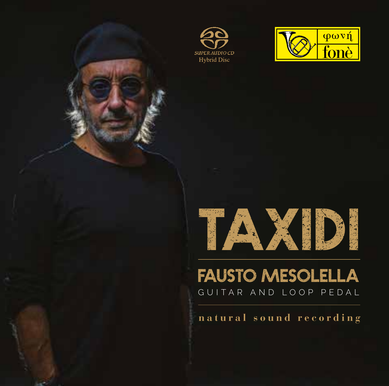





#### Fausto Mesolella GUITAR AND LOOP PEDAL

**natural sound recording**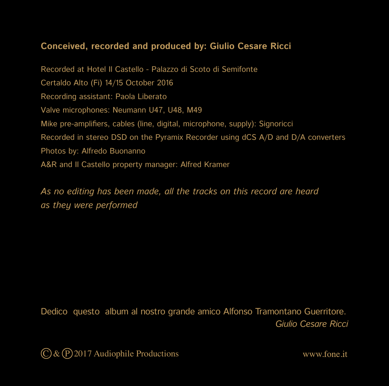#### **Conceived, recorded and produced by: Giulio Cesare Ricci**

Recorded at Hotel Il Castello - Palazzo di Scoto di Semifonte Certaldo Alto (Fi) 14/15 October 2016 Recording assistant: Paola Liberato Valve microphones: Neumann U47, U48, M49 Mike pre-amplifiers, cables (line, digital, microphone, supply): Signoricci Recorded in stereo DSD on the Pyramix Recorder using dCS A/D and D/A converters Photos by: Alfredo Buonanno A&R and Il Castello property manager: Alfred Kramer

*As no editing has been made, all the tracks on this record are heard as they were performed* 

Dedico questo album al nostro grande amico Alfonso Tramontano Guerritore. *Giulio Cesare Ricci*

C & P 2017 Audiophile Productions

www fone it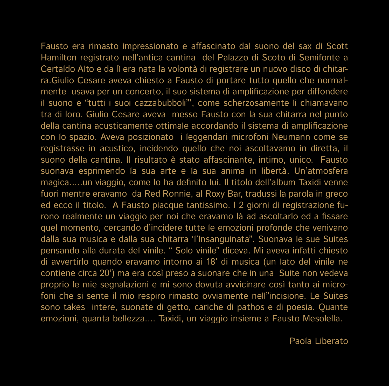Fausto era rimasto impressionato e affascinato dal suono del sax di Scott Hamilton registrato nell'antica cantina del Palazzo di Scoto di Semifonte a Certaldo Alto e da lì era nata la volontà di registrare un nuovo disco di chitarra.Giulio Cesare aveva chiesto a Fausto di portare tutto quello che normalmente usava per un concerto, il suo sistema di amplificazione per diffondere il suono e "tutti i suoi cazzabubboli"', come scherzosamente li chiamavano tra di loro. Giulio Cesare aveva messo Fausto con la sua chitarra nel punto della cantina acusticamente ottimale accordando il sistema di amplificazione con lo spazio. Aveva posizionato i leggendari microfoni Neumann come se registrasse in acustico, incidendo quello che noi ascoltavamo in diretta, il suono della cantina. Il risultato è stato affascinante, intimo, unico. Fausto suonava esprimendo la sua arte e la sua anima in libertà. Un'atmosfera magica.....un viaggio, come lo ha definito lui. Il titolo dell'album Taxidi venne fuori mentre eravamo da Red Ronnie, al Roxy Bar, tradussi la parola in greco ed ecco il titolo. A Fausto piacque tantissimo. I 2 giorni di registrazione furono realmente un viaggio per noi che eravamo là ad ascoltarlo ed a fissare quel momento, cercando d'incidere tutte le emozioni profonde che venivano dalla sua musica e dalla sua chitarra 'l'Insanguinata". Suonava le sue Suites pensando alla durata del vinile. " Solo vinile" diceva. Mi aveva infatti chiesto di avvertirlo quando eravamo intorno ai 18' di musica (un lato del vinile ne contiene circa 20') ma era così preso a suonare che in una Suite non vedeva proprio le mie segnalazioni e mi sono dovuta avvicinare così tanto ai microfoni che si sente il mio respiro rimasto ovviamente nell"incisione. Le Suites sono takes intere, suonate di getto, cariche di pathos e di poesia. Quante emozioni, quanta bellezza.... Taxidi, un viaggio insieme a Fausto Mesolella.

Paola Liberato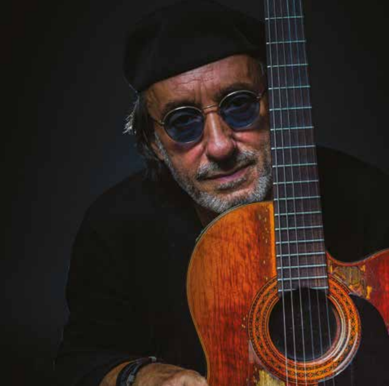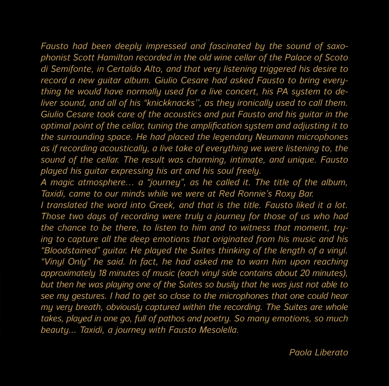*Fausto had been deeply impressed and fascinated by the sound of saxophonist Scott Hamilton recorded in the old wine cellar of the Palace of Scoto di Semifonte, in Certaldo Alto, and that very listening triggered his desire to record a new guitar album. Giulio Cesare had asked Fausto to bring every*thing he would have normally used for a live concert, his PA sustem to de*liver sound, and all of his "knickknacks'', as they ironically used to call them. Giulio Cesare took care of the acoustics and put Fausto and his guitar in the optimal point of the cellar, tuning the amplification system and adjusting it to the surrounding space. He had placed the legendary Neumann microphones as if recording acoustically, a live take of everything we were listening to, the sound of the cellar. The result was charming, intimate, and unique. Fausto played his guitar expressing his art and his soul freely.*

*A magic atmosphere… a "journey", as he called it. The title of the album, Taxidi, came to our minds while we were at Red Ronnie's Roxy Bar.* 

*I translated the word into Greek, and that is the title. Fausto liked it a lot. Those two days of recording were truly a journey for those of us who had the chance to be there, to listen to him and to witness that moment, trying to capture all the deep emotions that originated from his music and his "Bloodstained" guitar. He played the Suites thinking of the length of a vinyl. "Vinyl Only" he said. In fact, he had asked me to warn him upon reaching approximately 18 minutes of music (each vinyl side contains about 20 minutes), but then he was playing one of the Suites so busily that he was just not able to see my gestures. I had to get so close to the microphones that one could hear my very breath, obviously captured within the recording. The Suites are whole takes, played in one go, full of pathos and poetry. So many emotions, so much beauty... Taxidi, a journey with Fausto Mesolella.*

*Paola Liberato*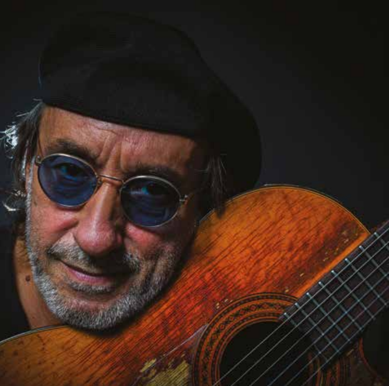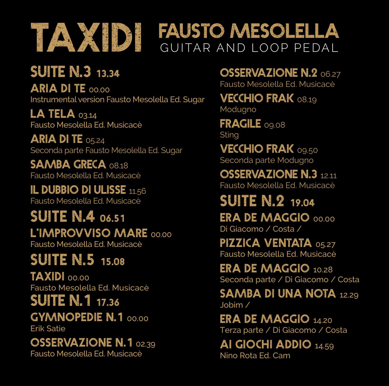# **TAXIDI FAUSTO MESOLELLA**

### SUITE N.3 13.34

Aria di te 00.00 Instrumental version Fausto Mesolella Ed. Sugar

LA TELA 03.14 Fausto Mesolella Ed. Musicacè

ARIA DI TE 05.24 Seconda parte Fausto Mesolella Ed. Sugar

SAMBA GRECA 0818 Fausto Mesolella Ed. Musicacè

Il dubbio di Ulisse 11.56 Fausto Mesolella Ed. Musicacè

#### SUITE N.4 06.51 L'**IMPROVVISO MARE** 00.00

Fausto Mesolella Ed. Musicacè

## SUITE N.5 15.08

TAXIDI 00.00 Fausto Mesolella Ed. Musicacè SUITE N.1 17.36

Gymnopedie n.1 00.00

Erik Satie

#### OSSERVAZIONE N.1 02.39

Fausto Mesolella Ed. Musicacè

Osservazione n.2 06.27

Fausto Mesolella Ed. Musicacè

VECCHIO FRAK 08.10 Modugno

**FRAGILE** 09.08 **Sting** 

**VECCHIO FRAK 09.50** Seconda parte Modugno

Osservazione n.3 12.11 Fausto Mesolella Ed. Musicacè

SUITE N.2 19.04 Era de maggio 00.00 Di Giacomo / Costa /

PIZZICA VENTATA 05.27 Fausto Mesolella Ed. Musicacè

Era de maggio 10.28 Seconda parte / Di Giacomo / Costa

SAMBA DI UNA NOTA 12.20 Jobim /

Era de maggio 14.20 Terza parte / Di Giacomo / Costa

Ai giochi addio 14.59 Nino Rota Ed. Cam